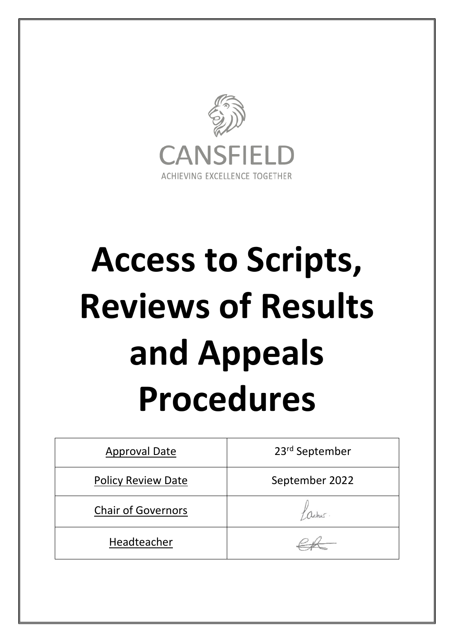

# **Access to Scripts, Reviews of Results and Appeals Procedures**

| <b>Approval Date</b>      | 23rd September |
|---------------------------|----------------|
| <b>Policy Review Date</b> | September 2022 |
| <b>Chair of Governors</b> |                |
| Headteacher               |                |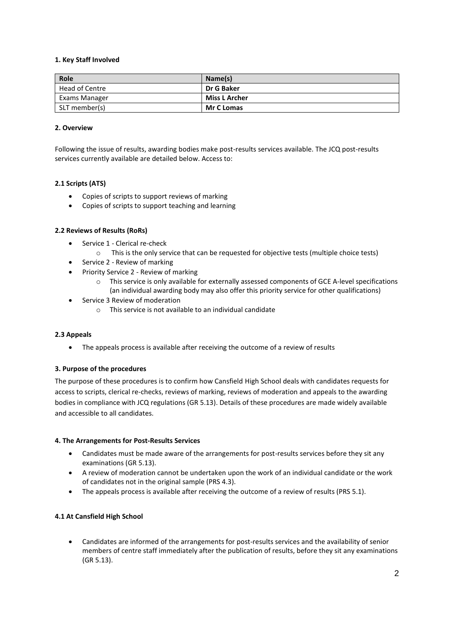## **1. Key Staff Involved**

| Role           | Name(s)           |
|----------------|-------------------|
| Head of Centre | Dr G Baker        |
| Exams Manager  | Miss L Archer     |
| SLT member(s)  | <b>Mr C Lomas</b> |

#### **2. Overview**

Following the issue of results, awarding bodies make post-results services available. The JCQ post-results services currently available are detailed below. Access to:

## **2.1 Scripts (ATS)**

- Copies of scripts to support reviews of marking
- Copies of scripts to support teaching and learning

#### **2.2 Reviews of Results (RoRs)**

- Service 1 Clerical re-check
	- o This is the only service that can be requested for objective tests (multiple choice tests)
- Service 2 Review of marking
- Priority Service 2 Review of marking
	- o This service is only available for externally assessed components of GCE A-level specifications (an individual awarding body may also offer this priority service for other qualifications)
- Service 3 Review of moderation
	- o This service is not available to an individual candidate

#### **2.3 Appeals**

• The appeals process is available after receiving the outcome of a review of results

#### **3. Purpose of the procedures**

The purpose of these procedures is to confirm how Cansfield High School deals with candidates requests for access to scripts, clerical re-checks, reviews of marking, reviews of moderation and appeals to the awarding bodies in compliance with JCQ regulations (GR 5.13). Details of these procedures are made widely available and accessible to all candidates.

#### **4. The Arrangements for Post-Results Services**

- Candidates must be made aware of the arrangements for post-results services before they sit any examinations (GR 5.13).
- A review of moderation cannot be undertaken upon the work of an individual candidate or the work of candidates not in the original sample (PRS 4.3).
- The appeals process is available after receiving the outcome of a review of results (PRS 5.1).

#### **4.1 At Cansfield High School**

 Candidates are informed of the arrangements for post-results services and the availability of senior members of centre staff immediately after the publication of results, before they sit any examinations (GR 5.13).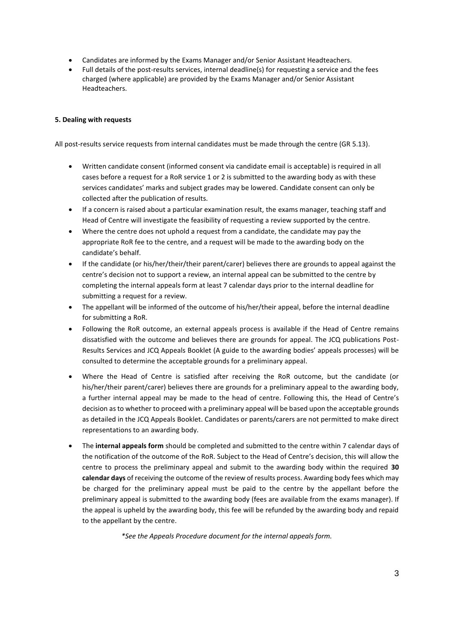- Candidates are informed by the Exams Manager and/or Senior Assistant Headteachers.
- Full details of the post-results services, internal deadline(s) for requesting a service and the fees charged (where applicable) are provided by the Exams Manager and/or Senior Assistant Headteachers.

## **5. Dealing with requests**

All post-results service requests from internal candidates must be made through the centre (GR 5.13).

- Written candidate consent (informed consent via candidate email is acceptable) is required in all cases before a request for a RoR service 1 or 2 is submitted to the awarding body as with these services candidates' marks and subject grades may be lowered. Candidate consent can only be collected after the publication of results.
- If a concern is raised about a particular examination result, the exams manager, teaching staff and Head of Centre will investigate the feasibility of requesting a review supported by the centre.
- Where the centre does not uphold a request from a candidate, the candidate may pay the appropriate RoR fee to the centre, and a request will be made to the awarding body on the candidate's behalf.
- If the candidate (or his/her/their/their parent/carer) believes there are grounds to appeal against the centre's decision not to support a review, an internal appeal can be submitted to the centre by completing the internal appeals form at least 7 calendar days prior to the internal deadline for submitting a request for a review.
- The appellant will be informed of the outcome of his/her/their appeal, before the internal deadline for submitting a RoR.
- Following the RoR outcome, an external appeals process is available if the Head of Centre remains dissatisfied with the outcome and believes there are grounds for appeal. The JCQ publications Post-Results Services and JCQ Appeals Booklet (A guide to the awarding bodies' appeals processes) will be consulted to determine the acceptable grounds for a preliminary appeal.
- Where the Head of Centre is satisfied after receiving the RoR outcome, but the candidate (or his/her/their parent/carer) believes there are grounds for a preliminary appeal to the awarding body, a further internal appeal may be made to the head of centre. Following this, the Head of Centre's decision as to whether to proceed with a preliminary appeal will be based upon the acceptable grounds as detailed in the JCQ Appeals Booklet. Candidates or parents/carers are not permitted to make direct representations to an awarding body.
- The **internal appeals form** should be completed and submitted to the centre within 7 calendar days of the notification of the outcome of the RoR. Subject to the Head of Centre's decision, this will allow the centre to process the preliminary appeal and submit to the awarding body within the required **30 calendar days** of receiving the outcome of the review of results process. Awarding body fees which may be charged for the preliminary appeal must be paid to the centre by the appellant before the preliminary appeal is submitted to the awarding body (fees are available from the exams manager). If the appeal is upheld by the awarding body, this fee will be refunded by the awarding body and repaid to the appellant by the centre.

*\*See the Appeals Procedure document for the internal appeals form.*